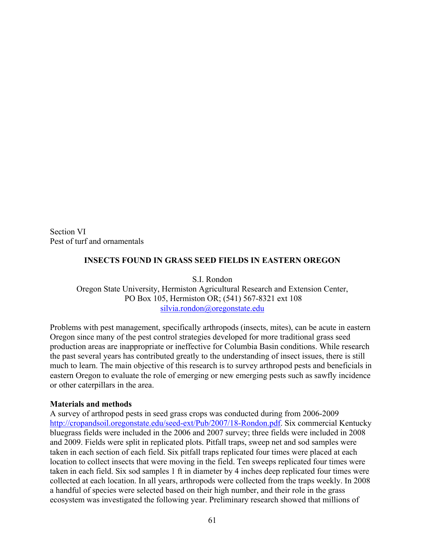Section VI Pest of turf and ornamentals

## **INSECTS FOUND IN GRASS SEED FIELDS IN EASTERN OREGON**

S.I. Rondon Oregon State University, Hermiston Agricultural Research and Extension Center, PO Box 105, Hermiston OR; (541) 567-8321 ext 108 [silvia.rondon@oregonstate.edu](mailto:silvia.rondon@oregonstate.edu)

Problems with pest management, specifically arthropods (insects, mites), can be acute in eastern Oregon since many of the pest control strategies developed for more traditional grass seed production areas are inappropriate or ineffective for Columbia Basin conditions. While research the past several years has contributed greatly to the understanding of insect issues, there is still much to learn. The main objective of this research is to survey arthropod pests and beneficials in eastern Oregon to evaluate the role of emerging or new emerging pests such as sawfly incidence or other caterpillars in the area.

## **Materials and methods**

A survey of arthropod pests in seed grass crops was conducted during from 2006-2009 <http://cropandsoil.oregonstate.edu/seed-ext/Pub/2007/18-Rondon.pdf>. Six commercial Kentucky bluegrass fields were included in the 2006 and 2007 survey; three fields were included in 2008 and 2009. Fields were split in replicated plots. Pitfall traps, sweep net and sod samples were taken in each section of each field. Six pitfall traps replicated four times were placed at each location to collect insects that were moving in the field. Ten sweeps replicated four times were taken in each field. Six sod samples 1 ft in diameter by 4 inches deep replicated four times were collected at each location. In all years, arthropods were collected from the traps weekly. In 2008 a handful of species were selected based on their high number, and their role in the grass ecosystem was investigated the following year. Preliminary research showed that millions of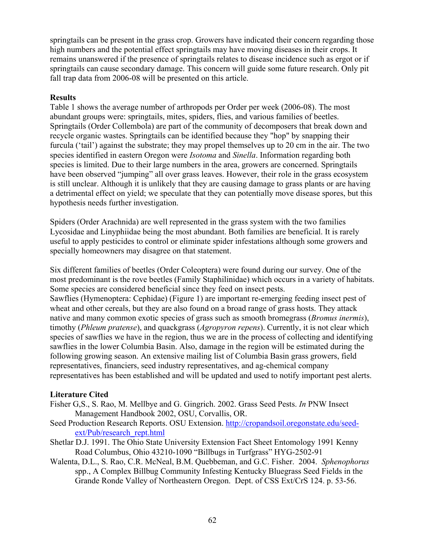springtails can be present in the grass crop. Growers have indicated their concern regarding those high numbers and the potential effect springtails may have moving diseases in their crops. It remains unanswered if the presence of springtails relates to disease incidence such as ergot or if springtails can cause secondary damage. This concern will guide some future research. Only pit fall trap data from 2006-08 will be presented on this article.

## **Results**

Table 1 shows the average number of arthropods per Order per week (2006-08). The most abundant groups were: springtails, mites, spiders, flies, and various families of beetles. Springtails (Order Collembola) are part of the community of decomposers that break down and recycle organic wastes. Springtails can be identified because they "hop" by snapping their furcula ('tail') against the substrate; they may propel themselves up to 20 cm in the air. The two species identified in eastern Oregon were *Isotoma* and *Sinella*. Information regarding both species is limited. Due to their large numbers in the area, growers are concerned. Springtails have been observed "jumping" all over grass leaves. However, their role in the grass ecosystem is still unclear. Although it is unlikely that they are causing damage to grass plants or are having a detrimental effect on yield; we speculate that they can potentially move disease spores, but this hypothesis needs further investigation.

Spiders (Order Arachnida) are well represented in the grass system with the two families Lycosidae and Linyphiidae being the most abundant. Both families are beneficial. It is rarely useful to apply pesticides to control or eliminate spider infestations although some growers and specially homeowners may disagree on that statement.

Six different families of beetles (Order Coleoptera) were found during our survey. One of the most predominant is the rove beetles (Family Staphilinidae) which occurs in a variety of habitats. Some species are considered beneficial since they feed on insect pests.

Sawflies (Hymenoptera: Cephidae) (Figure 1) are important re-emerging feeding insect pest of wheat and other cereals, but they are also found on a broad range of grass hosts. They attack native and many common exotic species of grass such as smooth bromegrass (*Bromus inermis*), timothy (*Phleum pratense*), and quackgrass (*Agropyron repens*). Currently, it is not clear which species of sawflies we have in the region, thus we are in the process of collecting and identifying sawflies in the lower Columbia Basin. Also, damage in the region will be estimated during the following growing season. An extensive mailing list of Columbia Basin grass growers, field representatives, financiers, seed industry representatives, and ag-chemical company representatives has been established and will be updated and used to notify important pest alerts.

## **Literature Cited**

- Fisher G,S., S. Rao, M. Mellbye and G. Gingrich. 2002. Grass Seed Pests. *In* PNW Insect Management Handbook 2002, OSU, Corvallis, OR.
- Seed Production Research Reports. OSU Extension. [http://cropandsoil.oregonstate.edu/seed](http://cropandsoil.oregonstate.edu/seed-ext/Pub/research_rept.html)[ext/Pub/research\\_rept.html](http://cropandsoil.oregonstate.edu/seed-ext/Pub/research_rept.html)
- Shetlar D.J. 1991. The Ohio State University Extension Fact Sheet Entomology 1991 Kenny Road Columbus, Ohio 43210-1090 "Billbugs in Turfgrass" HYG-2502-91
- Walenta, D.L., S. Rao, C.R. McNeal, B.M. Quebbeman, and G.C. Fisher. 2004. *Sphenophorus* spp., A Complex Billbug Community Infesting Kentucky Bluegrass Seed Fields in the Grande Ronde Valley of Northeastern Oregon. Dept. of CSS Ext/CrS 124. p. 53-56.